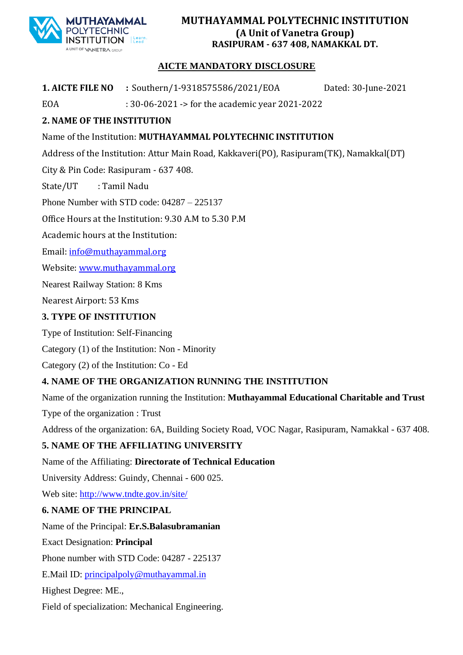

#### **MUTHAYAMMAL POLYTECHNIC INSTITUTION (A Unit of Vanetra Group) RASIPURAM - 637 408, NAMAKKAL DT.**

#### **AICTE MANDATORY DISCLOSURE**

**1. AICTE FILE NO :** Southern/1-9318575586/2021/EOA Dated: 30-June-2021

EOA : 30-06-2021 -> for the academic year 2021-2022

# **2. NAME OF THE INSTITUTION**

## Name of the Institution: **MUTHAYAMMAL POLYTECHNIC INSTITUTION**

Address of the Institution: Attur Main Road, Kakkaveri(PO), Rasipuram(TK), Namakkal(DT)

City & Pin Code: Rasipuram - 637 408.

State/UT : Tamil Nadu

Phone Number with STD code: 04287 – 225137

Office Hours at the Institution: 9.30 A.M to 5.30 P.M

Academic hours at the Institution:

Email: [info@muthayammal.org](mailto:info@muthayammal.org)

Website[: www.muthayammal.org](http://www.muthayammal.org/)

Nearest Railway Station: 8 Kms

Nearest Airport: 53 Kms

#### **3. TYPE OF INSTITUTION**

Type of Institution: Self-Financing

Category (1) of the Institution: Non - Minority

Category (2) of the Institution: Co - Ed

## **4. NAME OF THE ORGANIZATION RUNNING THE INSTITUTION**

Name of the organization running the Institution: **Muthayammal Educational Charitable and Trust** Type of the organization : Trust

Address of the organization: 6A, Building Society Road, VOC Nagar, Rasipuram, Namakkal - 637 408.

## **5. NAME OF THE AFFILIATING UNIVERSITY**

Name of the Affiliating: **Directorate of Technical Education**

University Address: Guindy, Chennai - 600 025.

Web site:<http://www.tndte.gov.in/>site/

## **6. NAME OF THE PRINCIPAL**

Name of the Principal: **Er.S.Balasubramanian**

Exact Designation: **Principal**

Phone number with STD Code: 04287 - 225137

E.Mail ID: [principalpoly@muthayammal.in](mailto:principalpoly@muthayammal.in)

Highest Degree: ME.,

Field of specialization: Mechanical Engineering.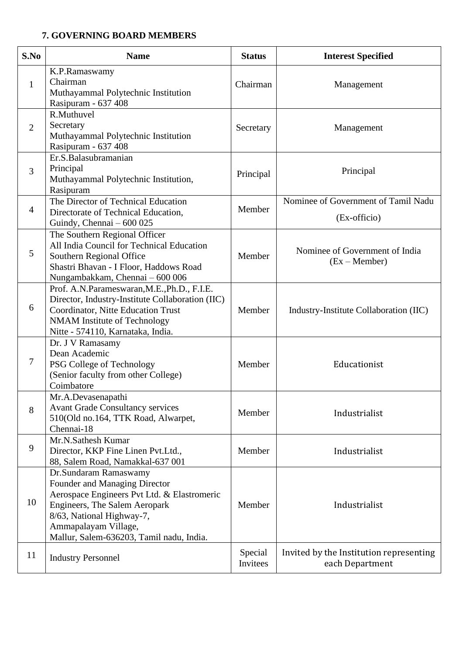#### **7. GOVERNING BOARD MEMBERS**

| S.No           | <b>Name</b>                                                                                                                                                                                                                             | <b>Status</b>       | <b>Interest Specified</b>                                  |
|----------------|-----------------------------------------------------------------------------------------------------------------------------------------------------------------------------------------------------------------------------------------|---------------------|------------------------------------------------------------|
| $\mathbf{1}$   | K.P.Ramaswamy<br>Chairman<br>Muthayammal Polytechnic Institution<br>Rasipuram - 637 408                                                                                                                                                 | Chairman            | Management                                                 |
| $\overline{2}$ | R.Muthuvel<br>Secretary<br>Muthayammal Polytechnic Institution<br>Rasipuram - 637 408                                                                                                                                                   | Secretary           | Management                                                 |
| 3              | Er.S.Balasubramanian<br>Principal<br>Muthayammal Polytechnic Institution,<br>Rasipuram                                                                                                                                                  | Principal           | Principal                                                  |
| $\overline{4}$ | The Director of Technical Education<br>Directorate of Technical Education,<br>Guindy, Chennai - 600 025                                                                                                                                 | Member              | Nominee of Government of Tamil Nadu<br>(Ex-officio)        |
| 5              | The Southern Regional Officer<br>All India Council for Technical Education<br>Southern Regional Office<br>Shastri Bhavan - I Floor, Haddows Road<br>Nungambakkam, Chennai - 600 006                                                     | Member              | Nominee of Government of India<br>$(Ex - Member)$          |
| 6              | Prof. A.N.Parameswaran, M.E., Ph.D., F.I.E.<br>Director, Industry-Institute Collaboration (IIC)<br>Coordinator, Nitte Education Trust<br>NMAM Institute of Technology<br>Nitte - 574110, Karnataka, India.                              | Member              | Industry-Institute Collaboration (IIC)                     |
| 7              | Dr. J V Ramasamy<br>Dean Academic<br>PSG College of Technology<br>(Senior faculty from other College)<br>Coimbatore                                                                                                                     | Member              | Educationist                                               |
| 8              | Mr.A.Devasenapathi<br><b>Avant Grade Consultancy services</b><br>510(Old no.164, TTK Road, Alwarpet,<br>Chennai-18                                                                                                                      | Member              | Industrialist                                              |
| 9              | Mr.N.Sathesh Kumar<br>Director, KKP Fine Linen Pvt.Ltd.,<br>88, Salem Road, Namakkal-637 001                                                                                                                                            | Member              | Industrialist                                              |
| 10             | Dr.Sundaram Ramaswamy<br>Founder and Managing Director<br>Aerospace Engineers Pvt Ltd. & Elastromeric<br>Engineers, The Salem Aeropark<br>8/63, National Highway-7,<br>Ammapalayam Village,<br>Mallur, Salem-636203, Tamil nadu, India. | Member              | Industrialist                                              |
| 11             | <b>Industry Personnel</b>                                                                                                                                                                                                               | Special<br>Invitees | Invited by the Institution representing<br>each Department |